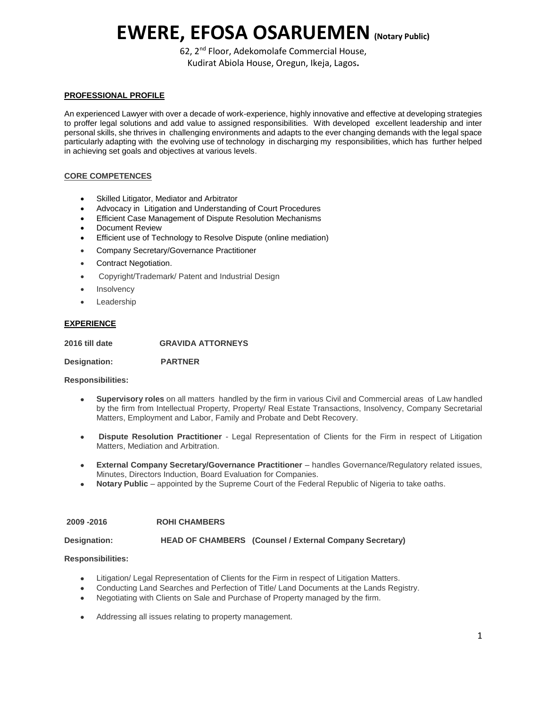# **EWERE, EFOSA OSARUEMEN (Notary Public)**

62, 2nd Floor, Adekomolafe Commercial House,

Kudirat Abiola House, Oregun, Ikeja, Lagos**.** 

## **PROFESSIONAL PROFILE**

An experienced Lawyer with over a decade of work-experience, highly innovative and effective at developing strategies to proffer legal solutions and add value to assigned responsibilities. With developed excellent leadership and inter personal skills, she thrives in challenging environments and adapts to the ever changing demands with the legal space particularly adapting with the evolving use of technology in discharging my responsibilities, which has further helped in achieving set goals and objectives at various levels.

## **CORE COMPETENCES**

- Skilled Litigator, Mediator and Arbitrator
- Advocacy in Litigation and Understanding of Court Procedures
- Efficient Case Management of Dispute Resolution Mechanisms
- Document Review
- Efficient use of Technology to Resolve Dispute (online mediation)
- Company Secretary/Governance Practitioner
- Contract Negotiation.
- Copyright/Trademark/ Patent and Industrial Design
- **Insolvency**
- Leadership

## **EXPERIENCE**

**2016 till date GRAVIDA ATTORNEYS**

**Designation: PARTNER**

## **Responsibilities:**

- **Supervisory roles** on all matters handled by the firm in various Civil and Commercial areas of Law handled by the firm from Intellectual Property, Property/ Real Estate Transactions, Insolvency, Company Secretarial Matters, Employment and Labor, Family and Probate and Debt Recovery.
- **Dispute Resolution Practitioner** Legal Representation of Clients for the Firm in respect of Litigation Matters, Mediation and Arbitration.
- **External Company Secretary/Governance Practitioner** handles Governance/Regulatory related issues, Minutes, Directors Induction, Board Evaluation for Companies.
- **Notary Public** appointed by the Supreme Court of the Federal Republic of Nigeria to take oaths.

## **2009 -2016 ROHI CHAMBERS**

**Designation: HEAD OF CHAMBERS (Counsel / External Company Secretary)**

## **Responsibilities:**

- Litigation/ Legal Representation of Clients for the Firm in respect of Litigation Matters.
- Conducting Land Searches and Perfection of Title/ Land Documents at the Lands Registry.
- Negotiating with Clients on Sale and Purchase of Property managed by the firm.
- Addressing all issues relating to property management.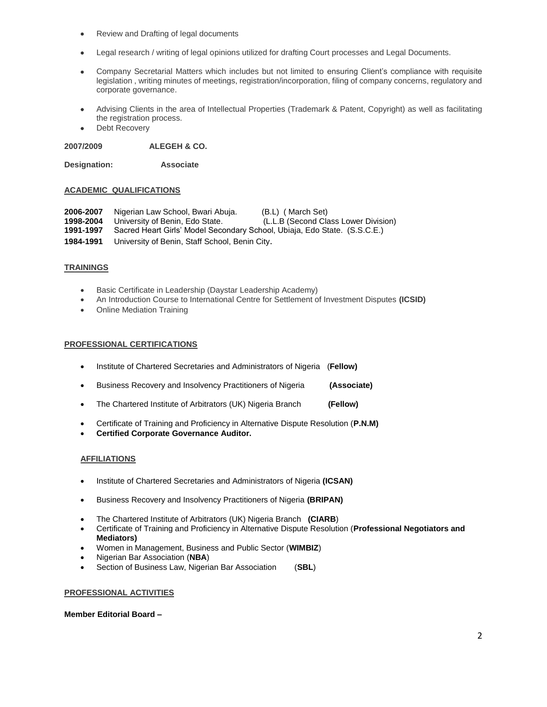- Review and Drafting of legal documents
- Legal research / writing of legal opinions utilized for drafting Court processes and Legal Documents.
- Company Secretarial Matters which includes but not limited to ensuring Client's compliance with requisite legislation , writing minutes of meetings, registration/incorporation, filing of company concerns, regulatory and corporate governance.
- Advising Clients in the area of Intellectual Properties (Trademark & Patent, Copyright) as well as facilitating the registration process.
- Debt Recovery

**2007/2009 ALEGEH & CO.** 

**Designation: Associate**

#### **ACADEMIC QUALIFICATIONS**

**2006-2007** Nigerian Law School, Bwari Abuja. (B.L) ( March Set) **1998-2004** University of Benin, Edo State. (L.L.B (Second Class Lower Division) **1991-1997** Sacred Heart Girls' Model Secondary School, Ubiaja, Edo State. (S.S.C.E.) **1984-1991** University of Benin, Staff School, Benin City.

## **TRAININGS**

- Basic Certificate in Leadership (Daystar Leadership Academy)
- An Introduction Course to International Centre for Settlement of Investment Disputes **(ICSID)**
- Online Mediation Training

## **PROFESSIONAL CERTIFICATIONS**

- Institute of Chartered Secretaries and Administrators of Nigeria (**Fellow)**
- Business Recovery and Insolvency Practitioners of Nigeria **(Associate)**
- The Chartered Institute of Arbitrators (UK) Nigeria Branch **(Fellow)**
- Certificate of Training and Proficiency in Alternative Dispute Resolution (**P.N.M)**
- **Certified Corporate Governance Auditor.**

## **AFFILIATIONS**

- **•** Institute of Chartered Secretaries and Administrators of Nigeria (ICSAN)
- Business Recovery and Insolvency Practitioners of Nigeria **(BRIPAN)**
- The Chartered Institute of Arbitrators (UK) Nigeria Branch **(CIARB**)
- Certificate of Training and Proficiency in Alternative Dispute Resolution (**Professional Negotiators and Mediators)**
- Women in Management, Business and Public Sector (**WIMBIZ**)
- Nigerian Bar Association (**NBA**)
- Section of Business Law, Nigerian Bar Association (**SBL**)

#### **PROFESSIONAL ACTIVITIES**

#### **Member Editorial Board –**